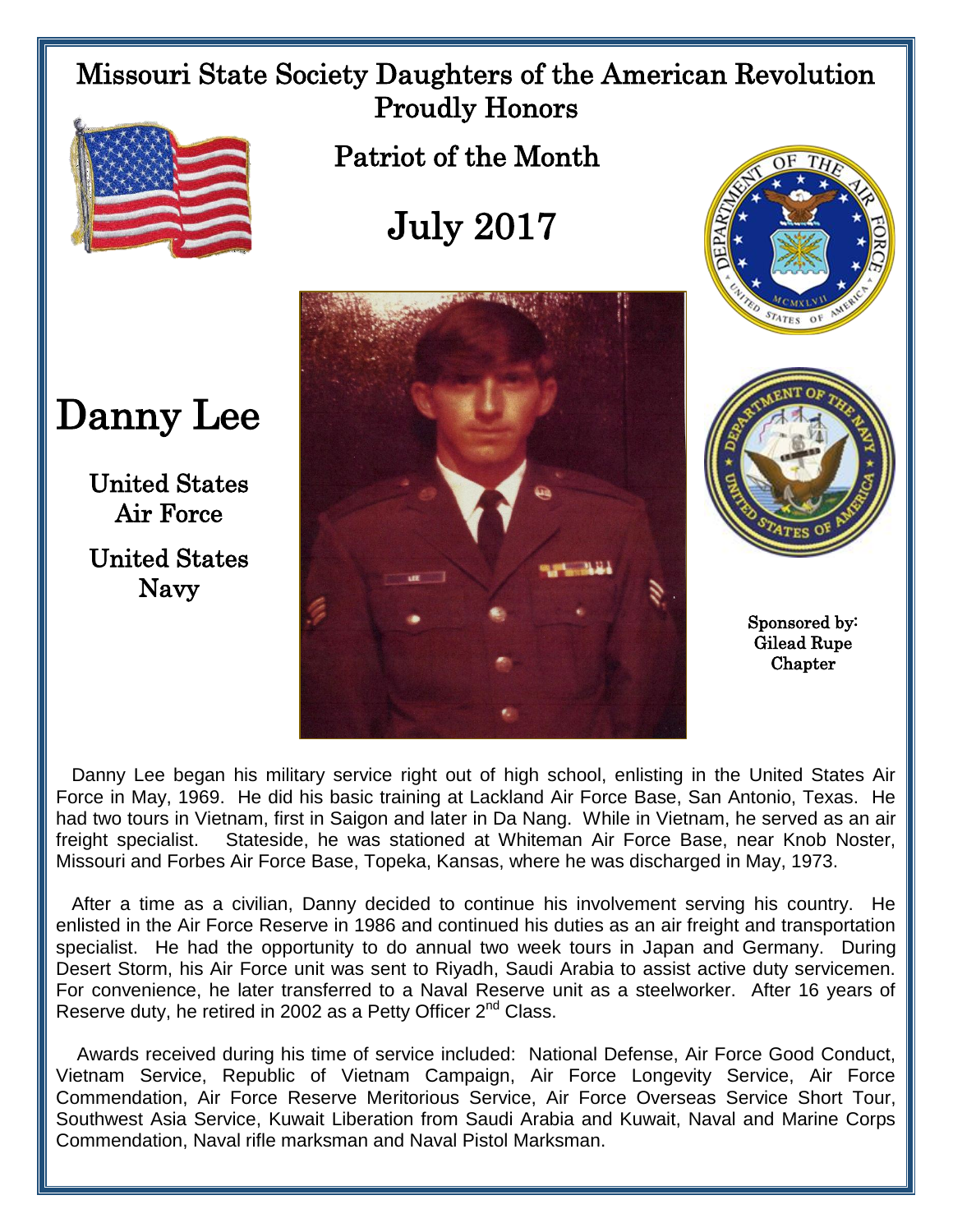## Missouri State Society Daughters of the American Revolution Proudly Honors



Patriot of the Month

## July 2017



STATES

Sponsored by: Gilead Rupe **Chapter** 

 Danny Lee began his military service right out of high school, enlisting in the United States Air Force in May, 1969. He did his basic training at Lackland Air Force Base, San Antonio, Texas. He had two tours in Vietnam, first in Saigon and later in Da Nang. While in Vietnam, he served as an air freight specialist. Stateside, he was stationed at Whiteman Air Force Base, near Knob Noster, Missouri and Forbes Air Force Base, Topeka, Kansas, where he was discharged in May, 1973.

 After a time as a civilian, Danny decided to continue his involvement serving his country. He enlisted in the Air Force Reserve in 1986 and continued his duties as an air freight and transportation specialist. He had the opportunity to do annual two week tours in Japan and Germany. During Desert Storm, his Air Force unit was sent to Riyadh, Saudi Arabia to assist active duty servicemen. For convenience, he later transferred to a Naval Reserve unit as a steelworker. After 16 years of Reserve duty, he retired in 2002 as a Petty Officer 2<sup>nd</sup> Class.

 Awards received during his time of service included: National Defense, Air Force Good Conduct, Vietnam Service, Republic of Vietnam Campaign, Air Force Longevity Service, Air Force Commendation, Air Force Reserve Meritorious Service, Air Force Overseas Service Short Tour, Southwest Asia Service, Kuwait Liberation from Saudi Arabia and Kuwait, Naval and Marine Corps Commendation, Naval rifle marksman and Naval Pistol Marksman.

Danny Lee

United States Air Force United States Navy